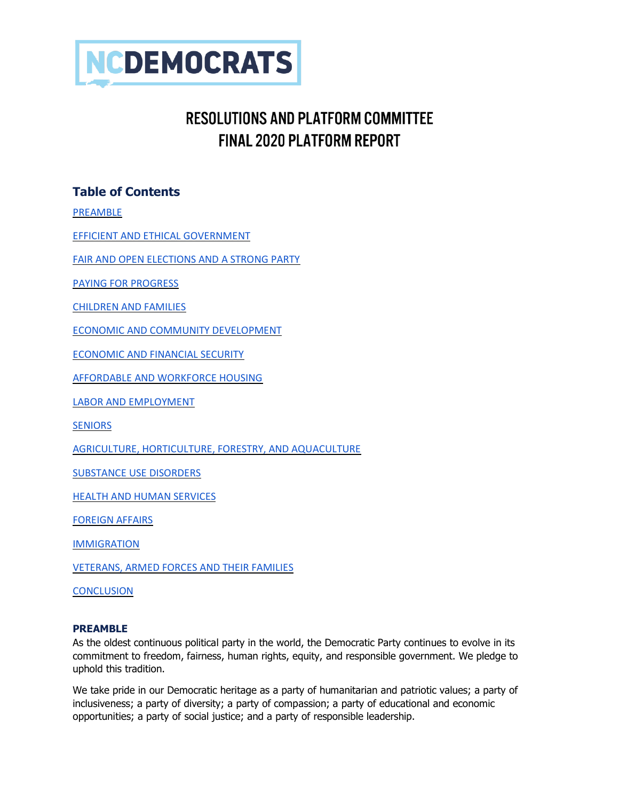

# **RESOLUTIONS AND PLATEORM COMMITTEE FINAL 2020 PLATFORM REPORT**

# **Table of Contents**

[PREAMBLE](#page-0-0)

[EFFICIENT AND ETHICAL GOVERNMENT](#page-1-0)

[FAIR AND OPEN ELECTIONS AND A STRONG PARTY](#page-2-0)

[PAYING FOR PROGRESS](#page-3-0)

[CHILDREN AND FAMILIES](#page-3-1)

[ECONOMIC AND COMMUNITY DEVELOPMENT](#page-4-0)

[ECONOMIC AND FINANCIAL SECURITY](#page-5-0)

[AFFORDABLE AND WORKFORCE HOUSING](#page-6-0)

[LABOR AND EMPLOYMENT](#page-6-1)

**[SENIORS](#page-8-0)** 

[AGRICULTURE, HORTICULTURE, FORESTRY, AND AQUACULTURE](#page-8-1)

[SUBSTANCE USE DISORDERS](#page-9-0)

[HEALTH AND HUMAN SERVICES](#page-10-0)

[FOREIGN AFFAIRS](#page-16-0)

**[IMMIGRATION](#page-17-0)** 

[VETERANS, ARMED FORCES AND THEIR FAMILIES](#page-17-1)

<span id="page-0-0"></span>**[CONCLUSION](#page-19-0)** 

#### **PREAMBLE**

As the oldest continuous political party in the world, the Democratic Party continues to evolve in its commitment to freedom, fairness, human rights, equity, and responsible government. We pledge to uphold this tradition.

We take pride in our Democratic heritage as a party of humanitarian and patriotic values; a party of inclusiveness; a party of diversity; a party of compassion; a party of educational and economic opportunities; a party of social justice; and a party of responsible leadership.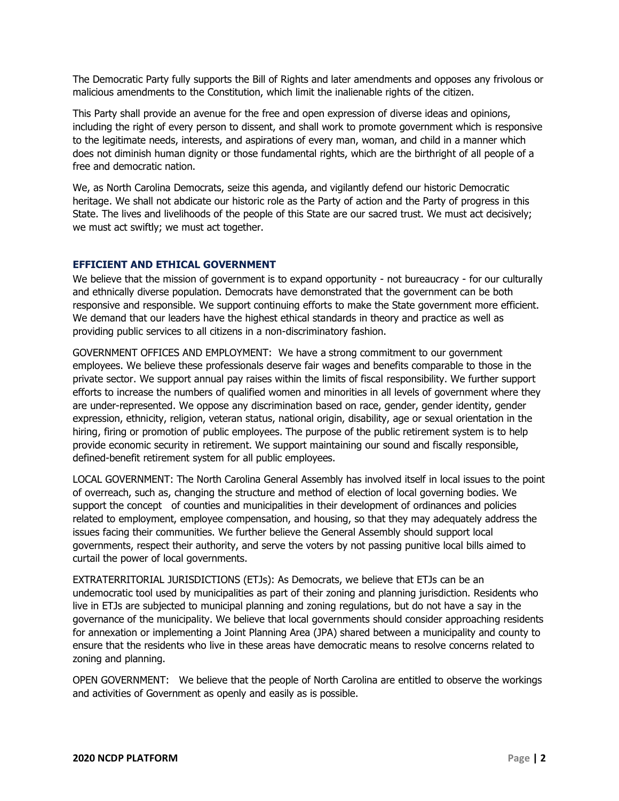The Democratic Party fully supports the Bill of Rights and later amendments and opposes any frivolous or malicious amendments to the Constitution, which limit the inalienable rights of the citizen.

This Party shall provide an avenue for the free and open expression of diverse ideas and opinions, including the right of every person to dissent, and shall work to promote government which is responsive to the legitimate needs, interests, and aspirations of every man, woman, and child in a manner which does not diminish human dignity or those fundamental rights, which are the birthright of all people of a free and democratic nation.

We, as North Carolina Democrats, seize this agenda, and vigilantly defend our historic Democratic heritage. We shall not abdicate our historic role as the Party of action and the Party of progress in this State. The lives and livelihoods of the people of this State are our sacred trust. We must act decisively; we must act swiftly; we must act together.

#### <span id="page-1-0"></span>**EFFICIENT AND ETHICAL GOVERNMENT**

We believe that the mission of government is to expand opportunity - not bureaucracy - for our culturally and ethnically diverse population. Democrats have demonstrated that the government can be both responsive and responsible. We support continuing efforts to make the State government more efficient. We demand that our leaders have the highest ethical standards in theory and practice as well as providing public services to all citizens in a non-discriminatory fashion.

GOVERNMENT OFFICES AND EMPLOYMENT: We have a strong commitment to our government employees. We believe these professionals deserve fair wages and benefits comparable to those in the private sector. We support annual pay raises within the limits of fiscal responsibility. We further support efforts to increase the numbers of qualified women and minorities in all levels of government where they are under-represented. We oppose any discrimination based on race, gender, gender identity, gender expression, ethnicity, religion, veteran status, national origin, disability, age or sexual orientation in the hiring, firing or promotion of public employees. The purpose of the public retirement system is to help provide economic security in retirement. We support maintaining our sound and fiscally responsible, defined-benefit retirement system for all public employees.

LOCAL GOVERNMENT: The North Carolina General Assembly has involved itself in local issues to the point of overreach, such as, changing the structure and method of election of local governing bodies. We support the concept of counties and municipalities in their development of ordinances and policies related to employment, employee compensation, and housing, so that they may adequately address the issues facing their communities. We further believe the General Assembly should support local governments, respect their authority, and serve the voters by not passing punitive local bills aimed to curtail the power of local governments.

EXTRATERRITORIAL JURISDICTIONS (ETJs): As Democrats, we believe that ETJs can be an undemocratic tool used by municipalities as part of their zoning and planning jurisdiction. Residents who live in ETJs are subjected to municipal planning and zoning regulations, but do not have a say in the governance of the municipality. We believe that local governments should consider approaching residents for annexation or implementing a Joint Planning Area (JPA) shared between a municipality and county to ensure that the residents who live in these areas have democratic means to resolve concerns related to zoning and planning.

OPEN GOVERNMENT: We believe that the people of North Carolina are entitled to observe the workings and activities of Government as openly and easily as is possible.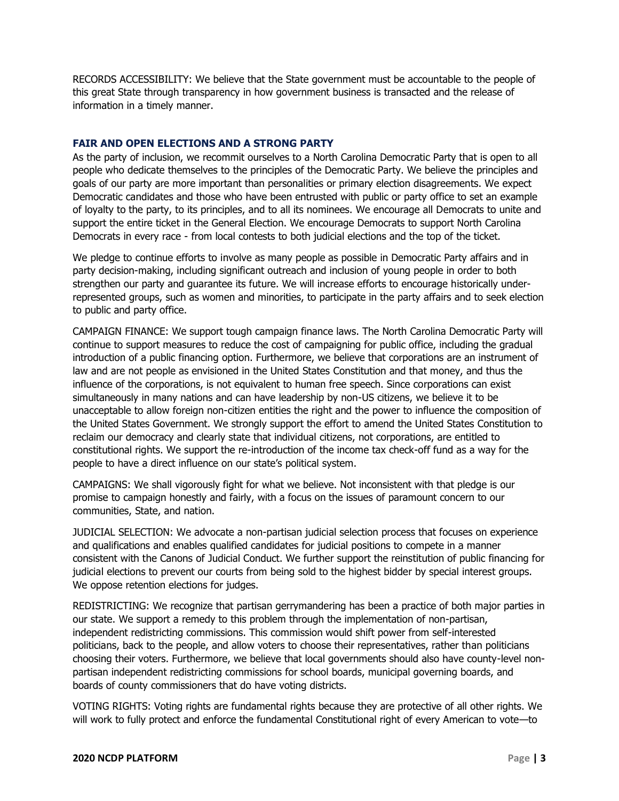RECORDS ACCESSIBILITY: We believe that the State government must be accountable to the people of this great State through transparency in how government business is transacted and the release of information in a timely manner.

## <span id="page-2-0"></span>**FAIR AND OPEN ELECTIONS AND A STRONG PARTY**

As the party of inclusion, we recommit ourselves to a North Carolina Democratic Party that is open to all people who dedicate themselves to the principles of the Democratic Party. We believe the principles and goals of our party are more important than personalities or primary election disagreements. We expect Democratic candidates and those who have been entrusted with public or party office to set an example of loyalty to the party, to its principles, and to all its nominees. We encourage all Democrats to unite and support the entire ticket in the General Election. We encourage Democrats to support North Carolina Democrats in every race - from local contests to both judicial elections and the top of the ticket.

We pledge to continue efforts to involve as many people as possible in Democratic Party affairs and in party decision-making, including significant outreach and inclusion of young people in order to both strengthen our party and guarantee its future. We will increase efforts to encourage historically underrepresented groups, such as women and minorities, to participate in the party affairs and to seek election to public and party office.

CAMPAIGN FINANCE: We support tough campaign finance laws. The North Carolina Democratic Party will continue to support measures to reduce the cost of campaigning for public office, including the gradual introduction of a public financing option. Furthermore, we believe that corporations are an instrument of law and are not people as envisioned in the United States Constitution and that money, and thus the influence of the corporations, is not equivalent to human free speech. Since corporations can exist simultaneously in many nations and can have leadership by non-US citizens, we believe it to be unacceptable to allow foreign non-citizen entities the right and the power to influence the composition of the United States Government. We strongly support the effort to amend the United States Constitution to reclaim our democracy and clearly state that individual citizens, not corporations, are entitled to constitutional rights. We support the re-introduction of the income tax check-off fund as a way for the people to have a direct influence on our state's political system.

CAMPAIGNS: We shall vigorously fight for what we believe. Not inconsistent with that pledge is our promise to campaign honestly and fairly, with a focus on the issues of paramount concern to our communities, State, and nation.

JUDICIAL SELECTION: We advocate a non-partisan judicial selection process that focuses on experience and qualifications and enables qualified candidates for judicial positions to compete in a manner consistent with the Canons of Judicial Conduct. We further support the reinstitution of public financing for judicial elections to prevent our courts from being sold to the highest bidder by special interest groups. We oppose retention elections for judges.

REDISTRICTING: We recognize that partisan gerrymandering has been a practice of both major parties in our state. We support a remedy to this problem through the implementation of non-partisan, independent redistricting commissions. This commission would shift power from self-interested politicians, back to the people, and allow voters to choose their representatives, rather than politicians choosing their voters. Furthermore, we believe that local governments should also have county-level nonpartisan independent redistricting commissions for school boards, municipal governing boards, and boards of county commissioners that do have voting districts.

VOTING RIGHTS: Voting rights are fundamental rights because they are protective of all other rights. We will work to fully protect and enforce the fundamental Constitutional right of every American to vote—to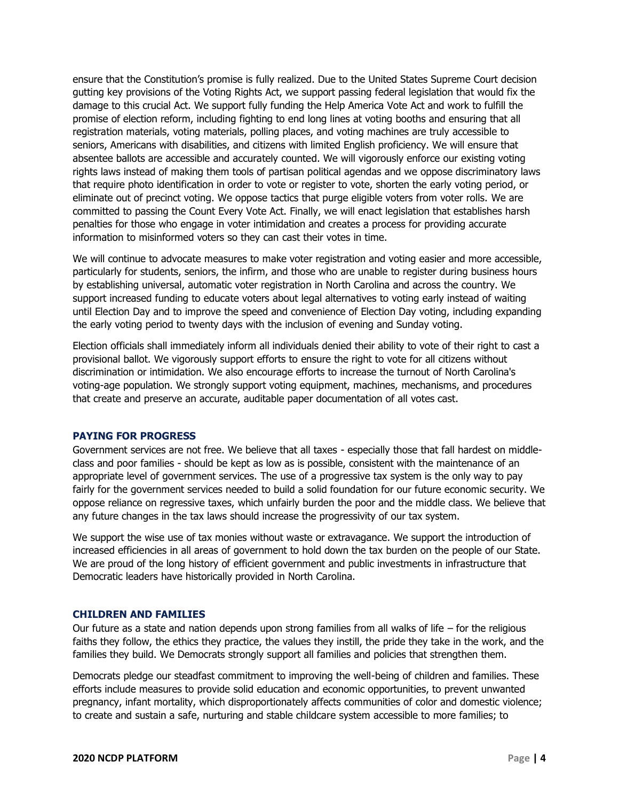ensure that the Constitution's promise is fully realized. Due to the United States Supreme Court decision gutting key provisions of the Voting Rights Act, we support passing federal legislation that would fix the damage to this crucial Act. We support fully funding the Help America Vote Act and work to fulfill the promise of election reform, including fighting to end long lines at voting booths and ensuring that all registration materials, voting materials, polling places, and voting machines are truly accessible to seniors, Americans with disabilities, and citizens with limited English proficiency. We will ensure that absentee ballots are accessible and accurately counted. We will vigorously enforce our existing voting rights laws instead of making them tools of partisan political agendas and we oppose discriminatory laws that require photo identification in order to vote or register to vote, shorten the early voting period, or eliminate out of precinct voting. We oppose tactics that purge eligible voters from voter rolls. We are committed to passing the Count Every Vote Act. Finally, we will enact legislation that establishes harsh penalties for those who engage in voter intimidation and creates a process for providing accurate information to misinformed voters so they can cast their votes in time.

We will continue to advocate measures to make voter registration and voting easier and more accessible, particularly for students, seniors, the infirm, and those who are unable to register during business hours by establishing universal, automatic voter registration in North Carolina and across the country. We support increased funding to educate voters about legal alternatives to voting early instead of waiting until Election Day and to improve the speed and convenience of Election Day voting, including expanding the early voting period to twenty days with the inclusion of evening and Sunday voting.

Election officials shall immediately inform all individuals denied their ability to vote of their right to cast a provisional ballot. We vigorously support efforts to ensure the right to vote for all citizens without discrimination or intimidation. We also encourage efforts to increase the turnout of North Carolina's voting-age population. We strongly support voting equipment, machines, mechanisms, and procedures that create and preserve an accurate, auditable paper documentation of all votes cast.

#### <span id="page-3-0"></span>**PAYING FOR PROGRESS**

Government services are not free. We believe that all taxes - especially those that fall hardest on middleclass and poor families - should be kept as low as is possible, consistent with the maintenance of an appropriate level of government services. The use of a progressive tax system is the only way to pay fairly for the government services needed to build a solid foundation for our future economic security. We oppose reliance on regressive taxes, which unfairly burden the poor and the middle class. We believe that any future changes in the tax laws should increase the progressivity of our tax system.

We support the wise use of tax monies without waste or extravagance. We support the introduction of increased efficiencies in all areas of government to hold down the tax burden on the people of our State. We are proud of the long history of efficient government and public investments in infrastructure that Democratic leaders have historically provided in North Carolina.

#### <span id="page-3-1"></span>**CHILDREN AND FAMILIES**

Our future as a state and nation depends upon strong families from all walks of life  $-$  for the religious faiths they follow, the ethics they practice, the values they instill, the pride they take in the work, and the families they build. We Democrats strongly support all families and policies that strengthen them.

Democrats pledge our steadfast commitment to improving the well-being of children and families. These efforts include measures to provide solid education and economic opportunities, to prevent unwanted pregnancy, infant mortality, which disproportionately affects communities of color and domestic violence; to create and sustain a safe, nurturing and stable childcare system accessible to more families; to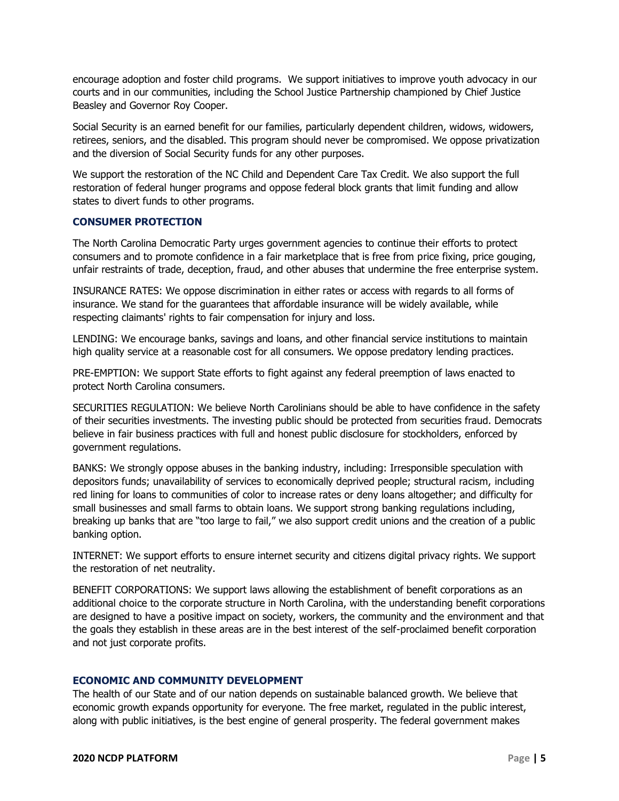encourage adoption and foster child programs. We support initiatives to improve youth advocacy in our courts and in our communities, including the School Justice Partnership championed by Chief Justice Beasley and Governor Roy Cooper.

Social Security is an earned benefit for our families, particularly dependent children, widows, widowers, retirees, seniors, and the disabled. This program should never be compromised. We oppose privatization and the diversion of Social Security funds for any other purposes.

We support the restoration of the NC Child and Dependent Care Tax Credit. We also support the full restoration of federal hunger programs and oppose federal block grants that limit funding and allow states to divert funds to other programs.

#### **CONSUMER PROTECTION**

The North Carolina Democratic Party urges government agencies to continue their efforts to protect consumers and to promote confidence in a fair marketplace that is free from price fixing, price gouging, unfair restraints of trade, deception, fraud, and other abuses that undermine the free enterprise system.

INSURANCE RATES: We oppose discrimination in either rates or access with regards to all forms of insurance. We stand for the guarantees that affordable insurance will be widely available, while respecting claimants' rights to fair compensation for injury and loss.

LENDING: We encourage banks, savings and loans, and other financial service institutions to maintain high quality service at a reasonable cost for all consumers. We oppose predatory lending practices.

PRE-EMPTION: We support State efforts to fight against any federal preemption of laws enacted to protect North Carolina consumers.

SECURITIES REGULATION: We believe North Carolinians should be able to have confidence in the safety of their securities investments. The investing public should be protected from securities fraud. Democrats believe in fair business practices with full and honest public disclosure for stockholders, enforced by government regulations.

BANKS: We strongly oppose abuses in the banking industry, including: Irresponsible speculation with depositors funds; unavailability of services to economically deprived people; structural racism, including red lining for loans to communities of color to increase rates or deny loans altogether; and difficulty for small businesses and small farms to obtain loans. We support strong banking regulations including, breaking up banks that are "too large to fail," we also support credit unions and the creation of a public banking option.

INTERNET: We support efforts to ensure internet security and citizens digital privacy rights. We support the restoration of net neutrality.

BENEFIT CORPORATIONS: We support laws allowing the establishment of benefit corporations as an additional choice to the corporate structure in North Carolina, with the understanding benefit corporations are designed to have a positive impact on society, workers, the community and the environment and that the goals they establish in these areas are in the best interest of the self-proclaimed benefit corporation and not just corporate profits.

#### <span id="page-4-0"></span>**ECONOMIC AND COMMUNITY DEVELOPMENT**

The health of our State and of our nation depends on sustainable balanced growth. We believe that economic growth expands opportunity for everyone. The free market, regulated in the public interest, along with public initiatives, is the best engine of general prosperity. The federal government makes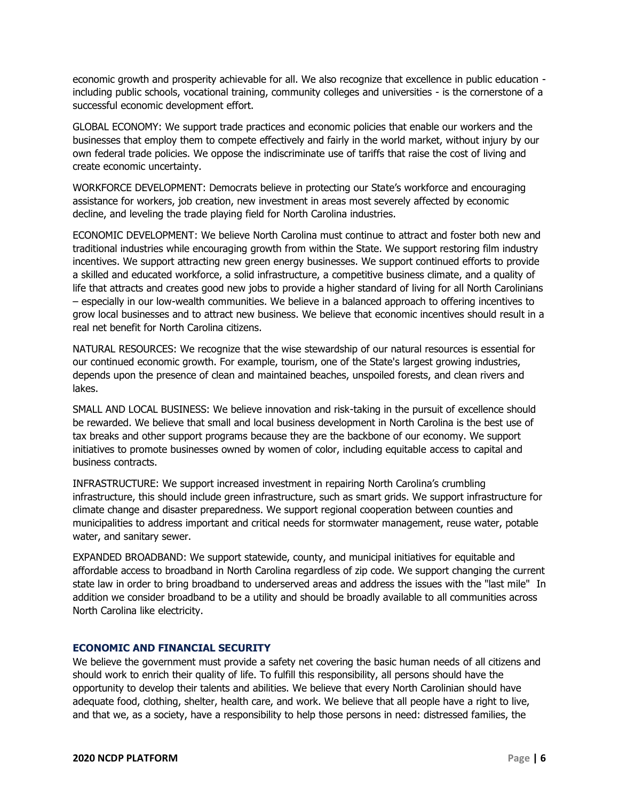economic growth and prosperity achievable for all. We also recognize that excellence in public education including public schools, vocational training, community colleges and universities - is the cornerstone of a successful economic development effort.

GLOBAL ECONOMY: We support trade practices and economic policies that enable our workers and the businesses that employ them to compete effectively and fairly in the world market, without injury by our own federal trade policies. We oppose the indiscriminate use of tariffs that raise the cost of living and create economic uncertainty.

WORKFORCE DEVELOPMENT: Democrats believe in protecting our State's workforce and encouraging assistance for workers, job creation, new investment in areas most severely affected by economic decline, and leveling the trade playing field for North Carolina industries.

ECONOMIC DEVELOPMENT: We believe North Carolina must continue to attract and foster both new and traditional industries while encouraging growth from within the State. We support restoring film industry incentives. We support attracting new green energy businesses. We support continued efforts to provide a skilled and educated workforce, a solid infrastructure, a competitive business climate, and a quality of life that attracts and creates good new jobs to provide a higher standard of living for all North Carolinians – especially in our low-wealth communities. We believe in a balanced approach to offering incentives to grow local businesses and to attract new business. We believe that economic incentives should result in a real net benefit for North Carolina citizens.

NATURAL RESOURCES: We recognize that the wise stewardship of our natural resources is essential for our continued economic growth. For example, tourism, one of the State's largest growing industries, depends upon the presence of clean and maintained beaches, unspoiled forests, and clean rivers and lakes.

SMALL AND LOCAL BUSINESS: We believe innovation and risk-taking in the pursuit of excellence should be rewarded. We believe that small and local business development in North Carolina is the best use of tax breaks and other support programs because they are the backbone of our economy. We support initiatives to promote businesses owned by women of color, including equitable access to capital and business contracts.

INFRASTRUCTURE: We support increased investment in repairing North Carolina's crumbling infrastructure, this should include green infrastructure, such as smart grids. We support infrastructure for climate change and disaster preparedness. We support regional cooperation between counties and municipalities to address important and critical needs for stormwater management, reuse water, potable water, and sanitary sewer.

EXPANDED BROADBAND: We support statewide, county, and municipal initiatives for equitable and affordable access to broadband in North Carolina regardless of zip code. We support changing the current state law in order to bring broadband to underserved areas and address the issues with the "last mile" In addition we consider broadband to be a utility and should be broadly available to all communities across North Carolina like electricity.

# <span id="page-5-0"></span>**ECONOMIC AND FINANCIAL SECURITY**

We believe the government must provide a safety net covering the basic human needs of all citizens and should work to enrich their quality of life. To fulfill this responsibility, all persons should have the opportunity to develop their talents and abilities. We believe that every North Carolinian should have adequate food, clothing, shelter, health care, and work. We believe that all people have a right to live, and that we, as a society, have a responsibility to help those persons in need: distressed families, the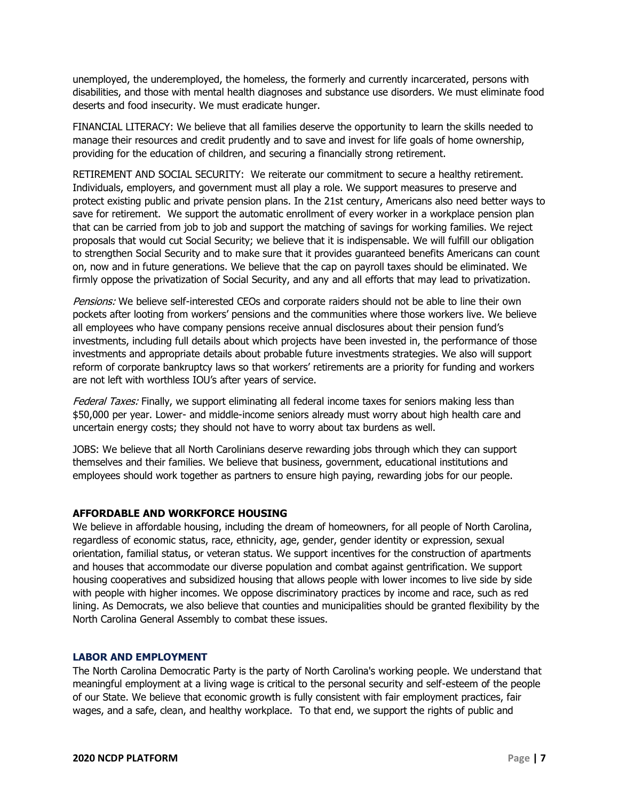unemployed, the underemployed, the homeless, the formerly and currently incarcerated, persons with disabilities, and those with mental health diagnoses and substance use disorders. We must eliminate food deserts and food insecurity. We must eradicate hunger.

FINANCIAL LITERACY: We believe that all families deserve the opportunity to learn the skills needed to manage their resources and credit prudently and to save and invest for life goals of home ownership, providing for the education of children, and securing a financially strong retirement.

RETIREMENT AND SOCIAL SECURITY: We reiterate our commitment to secure a healthy retirement. Individuals, employers, and government must all play a role. We support measures to preserve and protect existing public and private pension plans. In the 21st century, Americans also need better ways to save for retirement. We support the automatic enrollment of every worker in a workplace pension plan that can be carried from job to job and support the matching of savings for working families. We reject proposals that would cut Social Security; we believe that it is indispensable. We will fulfill our obligation to strengthen Social Security and to make sure that it provides guaranteed benefits Americans can count on, now and in future generations. We believe that the cap on payroll taxes should be eliminated. We firmly oppose the privatization of Social Security, and any and all efforts that may lead to privatization.

Pensions: We believe self-interested CEOs and corporate raiders should not be able to line their own pockets after looting from workers' pensions and the communities where those workers live. We believe all employees who have company pensions receive annual disclosures about their pension fund's investments, including full details about which projects have been invested in, the performance of those investments and appropriate details about probable future investments strategies. We also will support reform of corporate bankruptcy laws so that workers' retirements are a priority for funding and workers are not left with worthless IOU's after years of service.

Federal Taxes: Finally, we support eliminating all federal income taxes for seniors making less than \$50,000 per year. Lower- and middle-income seniors already must worry about high health care and uncertain energy costs; they should not have to worry about tax burdens as well.

JOBS: We believe that all North Carolinians deserve rewarding jobs through which they can support themselves and their families. We believe that business, government, educational institutions and employees should work together as partners to ensure high paying, rewarding jobs for our people.

# <span id="page-6-0"></span>**AFFORDABLE AND WORKFORCE HOUSING**

We believe in affordable housing, including the dream of homeowners, for all people of North Carolina, regardless of economic status, race, ethnicity, age, gender, gender identity or expression, sexual orientation, familial status, or veteran status. We support incentives for the construction of apartments and houses that accommodate our diverse population and combat against gentrification. We support housing cooperatives and subsidized housing that allows people with lower incomes to live side by side with people with higher incomes. We oppose discriminatory practices by income and race, such as red lining. As Democrats, we also believe that counties and municipalities should be granted flexibility by the North Carolina General Assembly to combat these issues.

# <span id="page-6-1"></span>**LABOR AND EMPLOYMENT**

The North Carolina Democratic Party is the party of North Carolina's working people. We understand that meaningful employment at a living wage is critical to the personal security and self-esteem of the people of our State. We believe that economic growth is fully consistent with fair employment practices, fair wages, and a safe, clean, and healthy workplace. To that end, we support the rights of public and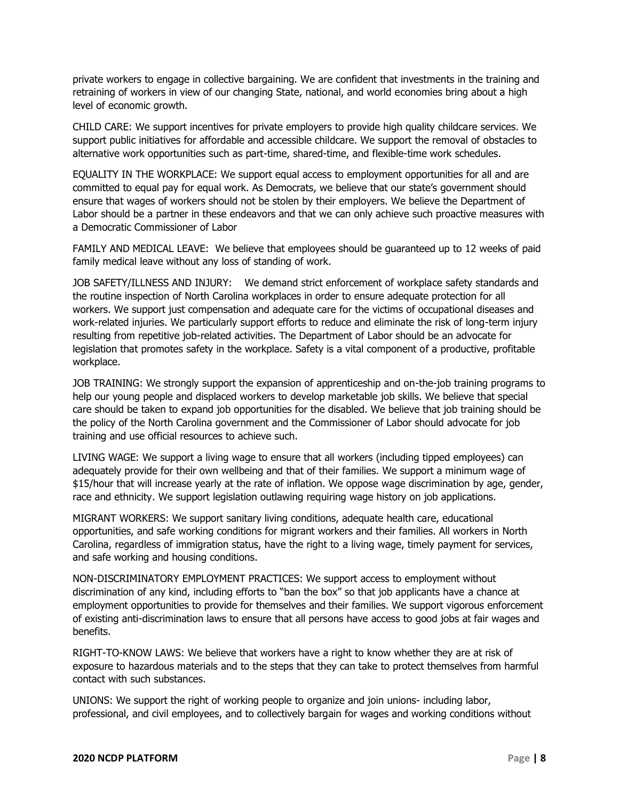private workers to engage in collective bargaining. We are confident that investments in the training and retraining of workers in view of our changing State, national, and world economies bring about a high level of economic growth.

CHILD CARE: We support incentives for private employers to provide high quality childcare services. We support public initiatives for affordable and accessible childcare. We support the removal of obstacles to alternative work opportunities such as part-time, shared-time, and flexible-time work schedules.

EQUALITY IN THE WORKPLACE: We support equal access to employment opportunities for all and are committed to equal pay for equal work. As Democrats, we believe that our state's government should ensure that wages of workers should not be stolen by their employers. We believe the Department of Labor should be a partner in these endeavors and that we can only achieve such proactive measures with a Democratic Commissioner of Labor

FAMILY AND MEDICAL LEAVE: We believe that employees should be guaranteed up to 12 weeks of paid family medical leave without any loss of standing of work.

JOB SAFETY/ILLNESS AND INJURY: We demand strict enforcement of workplace safety standards and the routine inspection of North Carolina workplaces in order to ensure adequate protection for all workers. We support just compensation and adequate care for the victims of occupational diseases and work-related injuries. We particularly support efforts to reduce and eliminate the risk of long-term injury resulting from repetitive job-related activities. The Department of Labor should be an advocate for legislation that promotes safety in the workplace. Safety is a vital component of a productive, profitable workplace.

JOB TRAINING: We strongly support the expansion of apprenticeship and on-the-job training programs to help our young people and displaced workers to develop marketable job skills. We believe that special care should be taken to expand job opportunities for the disabled. We believe that job training should be the policy of the North Carolina government and the Commissioner of Labor should advocate for job training and use official resources to achieve such.

LIVING WAGE: We support a living wage to ensure that all workers (including tipped employees) can adequately provide for their own wellbeing and that of their families. We support a minimum wage of \$15/hour that will increase yearly at the rate of inflation. We oppose wage discrimination by age, gender, race and ethnicity. We support legislation outlawing requiring wage history on job applications.

MIGRANT WORKERS: We support sanitary living conditions, adequate health care, educational opportunities, and safe working conditions for migrant workers and their families. All workers in North Carolina, regardless of immigration status, have the right to a living wage, timely payment for services, and safe working and housing conditions.

NON-DISCRIMINATORY EMPLOYMENT PRACTICES: We support access to employment without discrimination of any kind, including efforts to "ban the box" so that job applicants have a chance at employment opportunities to provide for themselves and their families. We support vigorous enforcement of existing anti-discrimination laws to ensure that all persons have access to good jobs at fair wages and benefits.

RIGHT-TO-KNOW LAWS: We believe that workers have a right to know whether they are at risk of exposure to hazardous materials and to the steps that they can take to protect themselves from harmful contact with such substances.

UNIONS: We support the right of working people to organize and join unions- including labor, professional, and civil employees, and to collectively bargain for wages and working conditions without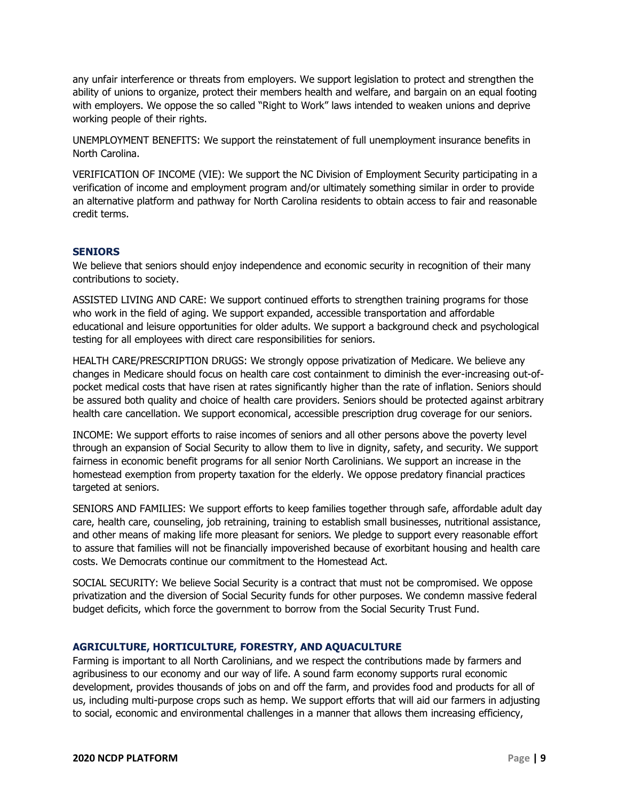any unfair interference or threats from employers. We support legislation to protect and strengthen the ability of unions to organize, protect their members health and welfare, and bargain on an equal footing with employers. We oppose the so called "Right to Work" laws intended to weaken unions and deprive working people of their rights.

UNEMPLOYMENT BENEFITS: We support the reinstatement of full unemployment insurance benefits in North Carolina.

VERIFICATION OF INCOME (VIE): We support the NC Division of Employment Security participating in a verification of income and employment program and/or ultimately something similar in order to provide an alternative platform and pathway for North Carolina residents to obtain access to fair and reasonable credit terms.

#### <span id="page-8-0"></span>**SENIORS**

We believe that seniors should enjoy independence and economic security in recognition of their many contributions to society.

ASSISTED LIVING AND CARE: We support continued efforts to strengthen training programs for those who work in the field of aging. We support expanded, accessible transportation and affordable educational and leisure opportunities for older adults. We support a background check and psychological testing for all employees with direct care responsibilities for seniors.

HEALTH CARE/PRESCRIPTION DRUGS: We strongly oppose privatization of Medicare. We believe any changes in Medicare should focus on health care cost containment to diminish the ever-increasing out-ofpocket medical costs that have risen at rates significantly higher than the rate of inflation. Seniors should be assured both quality and choice of health care providers. Seniors should be protected against arbitrary health care cancellation. We support economical, accessible prescription drug coverage for our seniors.

INCOME: We support efforts to raise incomes of seniors and all other persons above the poverty level through an expansion of Social Security to allow them to live in dignity, safety, and security. We support fairness in economic benefit programs for all senior North Carolinians. We support an increase in the homestead exemption from property taxation for the elderly. We oppose predatory financial practices targeted at seniors.

SENIORS AND FAMILIES: We support efforts to keep families together through safe, affordable adult day care, health care, counseling, job retraining, training to establish small businesses, nutritional assistance, and other means of making life more pleasant for seniors. We pledge to support every reasonable effort to assure that families will not be financially impoverished because of exorbitant housing and health care costs. We Democrats continue our commitment to the Homestead Act.

SOCIAL SECURITY: We believe Social Security is a contract that must not be compromised. We oppose privatization and the diversion of Social Security funds for other purposes. We condemn massive federal budget deficits, which force the government to borrow from the Social Security Trust Fund.

#### <span id="page-8-1"></span>**AGRICULTURE, HORTICULTURE, FORESTRY, AND AQUACULTURE**

Farming is important to all North Carolinians, and we respect the contributions made by farmers and agribusiness to our economy and our way of life. A sound farm economy supports rural economic development, provides thousands of jobs on and off the farm, and provides food and products for all of us, including multi-purpose crops such as hemp. We support efforts that will aid our farmers in adjusting to social, economic and environmental challenges in a manner that allows them increasing efficiency,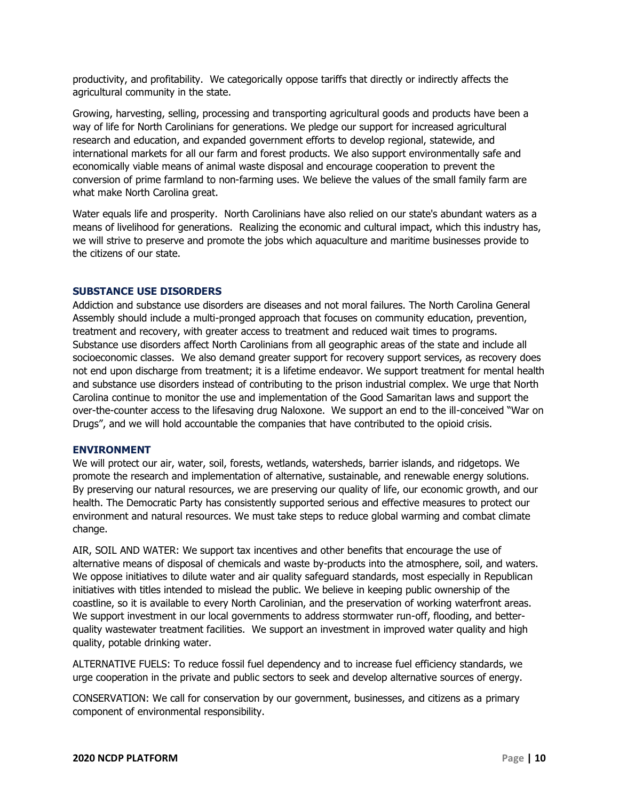productivity, and profitability. We categorically oppose tariffs that directly or indirectly affects the agricultural community in the state.

Growing, harvesting, selling, processing and transporting agricultural goods and products have been a way of life for North Carolinians for generations. We pledge our support for increased agricultural research and education, and expanded government efforts to develop regional, statewide, and international markets for all our farm and forest products. We also support environmentally safe and economically viable means of animal waste disposal and encourage cooperation to prevent the conversion of prime farmland to non-farming uses. We believe the values of the small family farm are what make North Carolina great.

Water equals life and prosperity. North Carolinians have also relied on our state's abundant waters as a means of livelihood for generations. Realizing the economic and cultural impact, which this industry has, we will strive to preserve and promote the jobs which aquaculture and maritime businesses provide to the citizens of our state.

#### <span id="page-9-0"></span>**SUBSTANCE USE DISORDERS**

Addiction and substance use disorders are diseases and not moral failures. The North Carolina General Assembly should include a multi-pronged approach that focuses on community education, prevention, treatment and recovery, with greater access to treatment and reduced wait times to programs. Substance use disorders affect North Carolinians from all geographic areas of the state and include all socioeconomic classes. We also demand greater support for recovery support services, as recovery does not end upon discharge from treatment; it is a lifetime endeavor. We support treatment for mental health and substance use disorders instead of contributing to the prison industrial complex. We urge that North Carolina continue to monitor the use and implementation of the Good Samaritan laws and support the over-the-counter access to the lifesaving drug Naloxone. We support an end to the ill-conceived "War on Drugs", and we will hold accountable the companies that have contributed to the opioid crisis.

#### **ENVIRONMENT**

We will protect our air, water, soil, forests, wetlands, watersheds, barrier islands, and ridgetops. We promote the research and implementation of alternative, sustainable, and renewable energy solutions. By preserving our natural resources, we are preserving our quality of life, our economic growth, and our health. The Democratic Party has consistently supported serious and effective measures to protect our environment and natural resources. We must take steps to reduce global warming and combat climate change.

AIR, SOIL AND WATER: We support tax incentives and other benefits that encourage the use of alternative means of disposal of chemicals and waste by-products into the atmosphere, soil, and waters. We oppose initiatives to dilute water and air quality safeguard standards, most especially in Republican initiatives with titles intended to mislead the public. We believe in keeping public ownership of the coastline, so it is available to every North Carolinian, and the preservation of working waterfront areas. We support investment in our local governments to address stormwater run-off, flooding, and betterquality wastewater treatment facilities. We support an investment in improved water quality and high quality, potable drinking water.

ALTERNATIVE FUELS: To reduce fossil fuel dependency and to increase fuel efficiency standards, we urge cooperation in the private and public sectors to seek and develop alternative sources of energy.

CONSERVATION: We call for conservation by our government, businesses, and citizens as a primary component of environmental responsibility.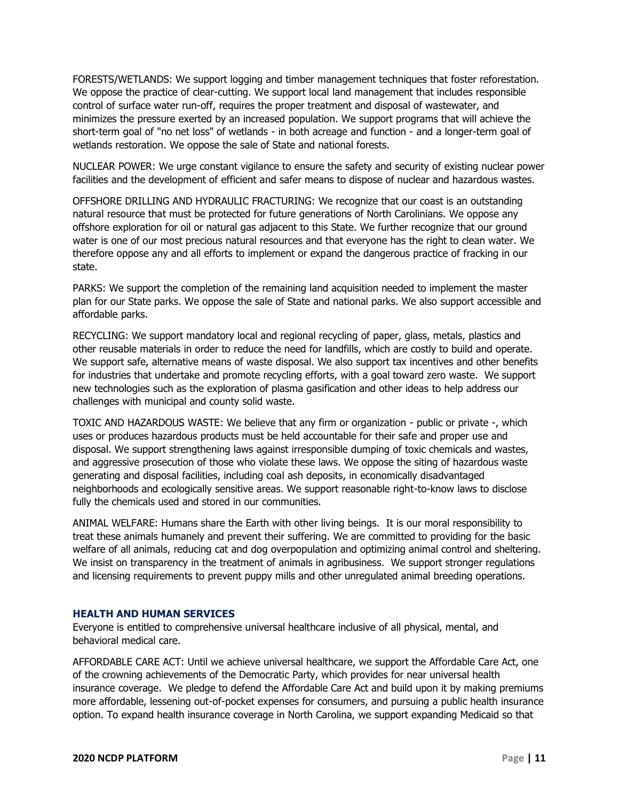FORESTS/WETLANDS: We support logging and timber management techniques that foster reforestation. We oppose the practice of clear-cutting. We support local land management that includes responsible control of surface water run-off, requires the proper treatment and disposal of wastewater, and minimizes the pressure exerted by an increased population. We support programs that will achieve the short-term goal of "no net loss" of wetlands - in both acreage and function - and a longer-term goal of wetlands restoration. We oppose the sale of State and national forests.

NUCLEAR POWER: We urge constant vigilance to ensure the safety and security of existing nuclear power facilities and the development of efficient and safer means to dispose of nuclear and hazardous wastes.

OFFSHORE DRILLING AND HYDRAULIC FRACTURING: We recognize that our coast is an outstanding natural resource that must be protected for future generations of North Carolinians. We oppose any offshore exploration for oil or natural gas adjacent to this State. We further recognize that our ground water is one of our most precious natural resources and that everyone has the right to clean water. We therefore oppose any and all efforts to implement or expand the dangerous practice of fracking in our state.

PARKS: We support the completion of the remaining land acquisition needed to implement the master plan for our State parks. We oppose the sale of State and national parks. We also support accessible and affordable parks.

RECYCLING: We support mandatory local and regional recycling of paper, glass, metals, plastics and other reusable materials in order to reduce the need for landfills, which are costly to build and operate. We support safe, alternative means of waste disposal. We also support tax incentives and other benefits for industries that undertake and promote recycling efforts, with a goal toward zero waste. We support new technologies such as the exploration of plasma gasification and other ideas to help address our challenges with municipal and county solid waste.

TOXIC AND HAZARDOUS WASTE: We believe that any firm or organization - public or private -, which uses or produces hazardous products must be held accountable for their safe and proper use and disposal. We support strengthening laws against irresponsible dumping of toxic chemicals and wastes, and aggressive prosecution of those who violate these laws. We oppose the siting of hazardous waste generating and disposal facilities, including coal ash deposits, in economically disadvantaged neighborhoods and ecologically sensitive areas. We support reasonable right-to-know laws to disclose fully the chemicals used and stored in our communities.

ANIMAL WELFARE: Humans share the Earth with other living beings. It is our moral responsibility to treat these animals humanely and prevent their suffering. We are committed to providing for the basic welfare of all animals, reducing cat and dog overpopulation and optimizing animal control and sheltering. We insist on transparency in the treatment of animals in agribusiness. We support stronger regulations and licensing requirements to prevent puppy mills and other unregulated animal breeding operations.

#### <span id="page-10-0"></span>**HEALTH AND HUMAN SERVICES**

Everyone is entitled to comprehensive universal healthcare inclusive of all physical, mental, and behavioral medical care.

AFFORDABLE CARE ACT: Until we achieve universal healthcare, we support the Affordable Care Act, one of the crowning achievements of the Democratic Party, which provides for near universal health insurance coverage. We pledge to defend the Affordable Care Act and build upon it by making premiums more affordable, lessening out-of-pocket expenses for consumers, and pursuing a public health insurance option. To expand health insurance coverage in North Carolina, we support expanding Medicaid so that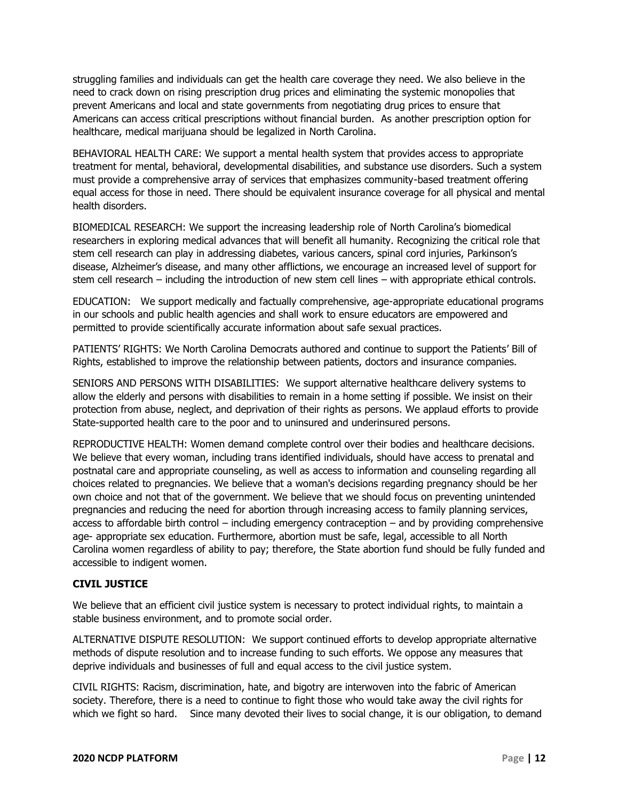struggling families and individuals can get the health care coverage they need. We also believe in the need to crack down on rising prescription drug prices and eliminating the systemic monopolies that prevent Americans and local and state governments from negotiating drug prices to ensure that Americans can access critical prescriptions without financial burden. As another prescription option for healthcare, medical marijuana should be legalized in North Carolina.

BEHAVIORAL HEALTH CARE: We support a mental health system that provides access to appropriate treatment for mental, behavioral, developmental disabilities, and substance use disorders. Such a system must provide a comprehensive array of services that emphasizes community-based treatment offering equal access for those in need. There should be equivalent insurance coverage for all physical and mental health disorders.

BIOMEDICAL RESEARCH: We support the increasing leadership role of North Carolina's biomedical researchers in exploring medical advances that will benefit all humanity. Recognizing the critical role that stem cell research can play in addressing diabetes, various cancers, spinal cord injuries, Parkinson's disease, Alzheimer's disease, and many other afflictions, we encourage an increased level of support for stem cell research – including the introduction of new stem cell lines – with appropriate ethical controls.

EDUCATION: We support medically and factually comprehensive, age-appropriate educational programs in our schools and public health agencies and shall work to ensure educators are empowered and permitted to provide scientifically accurate information about safe sexual practices.

PATIENTS' RIGHTS: We North Carolina Democrats authored and continue to support the Patients' Bill of Rights, established to improve the relationship between patients, doctors and insurance companies.

SENIORS AND PERSONS WITH DISABILITIES: We support alternative healthcare delivery systems to allow the elderly and persons with disabilities to remain in a home setting if possible. We insist on their protection from abuse, neglect, and deprivation of their rights as persons. We applaud efforts to provide State-supported health care to the poor and to uninsured and underinsured persons.

REPRODUCTIVE HEALTH: Women demand complete control over their bodies and healthcare decisions. We believe that every woman, including trans identified individuals, should have access to prenatal and postnatal care and appropriate counseling, as well as access to information and counseling regarding all choices related to pregnancies. We believe that a woman's decisions regarding pregnancy should be her own choice and not that of the government. We believe that we should focus on preventing unintended pregnancies and reducing the need for abortion through increasing access to family planning services, access to affordable birth control – including emergency contraception – and by providing comprehensive age- appropriate sex education. Furthermore, abortion must be safe, legal, accessible to all North Carolina women regardless of ability to pay; therefore, the State abortion fund should be fully funded and accessible to indigent women.

# **CIVIL JUSTICE**

We believe that an efficient civil justice system is necessary to protect individual rights, to maintain a stable business environment, and to promote social order.

ALTERNATIVE DISPUTE RESOLUTION: We support continued efforts to develop appropriate alternative methods of dispute resolution and to increase funding to such efforts. We oppose any measures that deprive individuals and businesses of full and equal access to the civil justice system.

CIVIL RIGHTS: Racism, discrimination, hate, and bigotry are interwoven into the fabric of American society. Therefore, there is a need to continue to fight those who would take away the civil rights for which we fight so hard. Since many devoted their lives to social change, it is our obligation, to demand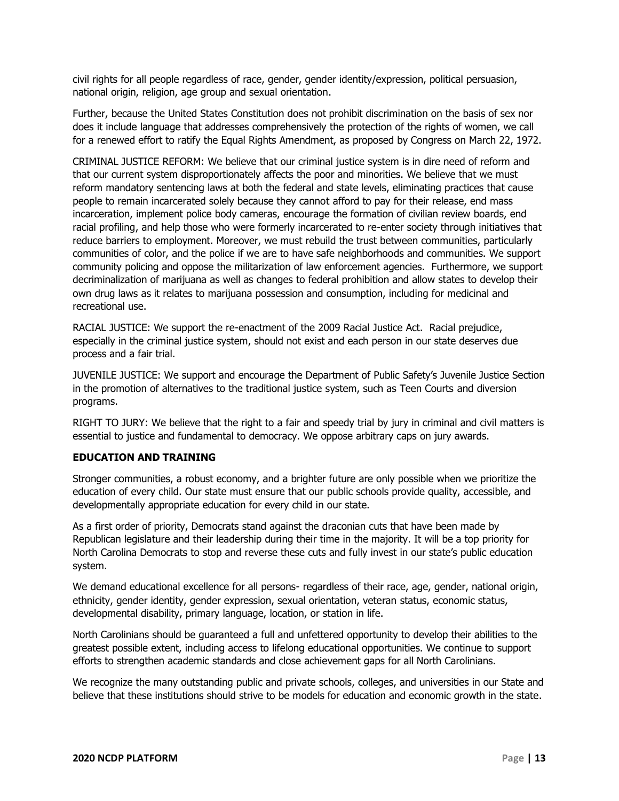civil rights for all people regardless of race, gender, gender identity/expression, political persuasion, national origin, religion, age group and sexual orientation.

Further, because the United States Constitution does not prohibit discrimination on the basis of sex nor does it include language that addresses comprehensively the protection of the rights of women, we call for a renewed effort to ratify the Equal Rights Amendment, as proposed by Congress on March 22, 1972.

CRIMINAL JUSTICE REFORM: We believe that our criminal justice system is in dire need of reform and that our current system disproportionately affects the poor and minorities. We believe that we must reform mandatory sentencing laws at both the federal and state levels, eliminating practices that cause people to remain incarcerated solely because they cannot afford to pay for their release, end mass incarceration, implement police body cameras, encourage the formation of civilian review boards, end racial profiling, and help those who were formerly incarcerated to re-enter society through initiatives that reduce barriers to employment. Moreover, we must rebuild the trust between communities, particularly communities of color, and the police if we are to have safe neighborhoods and communities. We support community policing and oppose the militarization of law enforcement agencies. Furthermore, we support decriminalization of marijuana as well as changes to federal prohibition and allow states to develop their own drug laws as it relates to marijuana possession and consumption, including for medicinal and recreational use.

RACIAL JUSTICE: We support the re-enactment of the 2009 Racial Justice Act. Racial prejudice, especially in the criminal justice system, should not exist and each person in our state deserves due process and a fair trial.

JUVENILE JUSTICE: We support and encourage the Department of Public Safety's Juvenile Justice Section in the promotion of alternatives to the traditional justice system, such as Teen Courts and diversion programs.

RIGHT TO JURY: We believe that the right to a fair and speedy trial by jury in criminal and civil matters is essential to justice and fundamental to democracy. We oppose arbitrary caps on jury awards.

# **EDUCATION AND TRAINING**

Stronger communities, a robust economy, and a brighter future are only possible when we prioritize the education of every child. Our state must ensure that our public schools provide quality, accessible, and developmentally appropriate education for every child in our state.

As a first order of priority, Democrats stand against the draconian cuts that have been made by Republican legislature and their leadership during their time in the majority. It will be a top priority for North Carolina Democrats to stop and reverse these cuts and fully invest in our state's public education system.

We demand educational excellence for all persons- regardless of their race, age, gender, national origin, ethnicity, gender identity, gender expression, sexual orientation, veteran status, economic status, developmental disability, primary language, location, or station in life.

North Carolinians should be guaranteed a full and unfettered opportunity to develop their abilities to the greatest possible extent, including access to lifelong educational opportunities. We continue to support efforts to strengthen academic standards and close achievement gaps for all North Carolinians.

We recognize the many outstanding public and private schools, colleges, and universities in our State and believe that these institutions should strive to be models for education and economic growth in the state.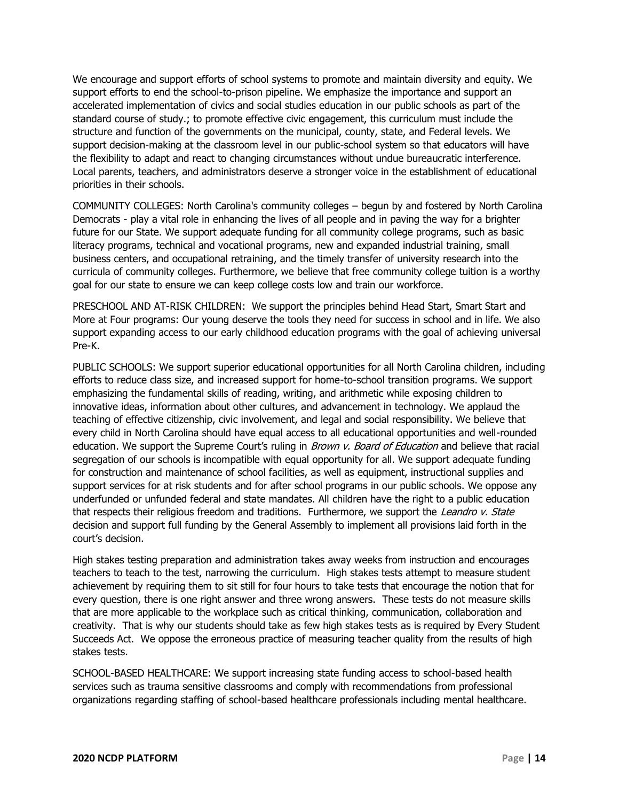We encourage and support efforts of school systems to promote and maintain diversity and equity. We support efforts to end the school-to-prison pipeline. We emphasize the importance and support an accelerated implementation of civics and social studies education in our public schools as part of the standard course of study.; to promote effective civic engagement, this curriculum must include the structure and function of the governments on the municipal, county, state, and Federal levels. We support decision-making at the classroom level in our public-school system so that educators will have the flexibility to adapt and react to changing circumstances without undue bureaucratic interference. Local parents, teachers, and administrators deserve a stronger voice in the establishment of educational priorities in their schools.

COMMUNITY COLLEGES: North Carolina's community colleges – begun by and fostered by North Carolina Democrats - play a vital role in enhancing the lives of all people and in paving the way for a brighter future for our State. We support adequate funding for all community college programs, such as basic literacy programs, technical and vocational programs, new and expanded industrial training, small business centers, and occupational retraining, and the timely transfer of university research into the curricula of community colleges. Furthermore, we believe that free community college tuition is a worthy goal for our state to ensure we can keep college costs low and train our workforce.

PRESCHOOL AND AT-RISK CHILDREN: We support the principles behind Head Start, Smart Start and More at Four programs: Our young deserve the tools they need for success in school and in life. We also support expanding access to our early childhood education programs with the goal of achieving universal Pre-K.

PUBLIC SCHOOLS: We support superior educational opportunities for all North Carolina children, including efforts to reduce class size, and increased support for home-to-school transition programs. We support emphasizing the fundamental skills of reading, writing, and arithmetic while exposing children to innovative ideas, information about other cultures, and advancement in technology. We applaud the teaching of effective citizenship, civic involvement, and legal and social responsibility. We believe that every child in North Carolina should have equal access to all educational opportunities and well-rounded education. We support the Supreme Court's ruling in *Brown v. Board of Education* and believe that racial segregation of our schools is incompatible with equal opportunity for all. We support adequate funding for construction and maintenance of school facilities, as well as equipment, instructional supplies and support services for at risk students and for after school programs in our public schools. We oppose any underfunded or unfunded federal and state mandates. All children have the right to a public education that respects their religious freedom and traditions. Furthermore, we support the Leandro v. State decision and support full funding by the General Assembly to implement all provisions laid forth in the court's decision.

High stakes testing preparation and administration takes away weeks from instruction and encourages teachers to teach to the test, narrowing the curriculum. High stakes tests attempt to measure student achievement by requiring them to sit still for four hours to take tests that encourage the notion that for every question, there is one right answer and three wrong answers. These tests do not measure skills that are more applicable to the workplace such as critical thinking, communication, collaboration and creativity. That is why our students should take as few high stakes tests as is required by Every Student Succeeds Act. We oppose the erroneous practice of measuring teacher quality from the results of high stakes tests.

SCHOOL-BASED HEALTHCARE: We support increasing state funding access to school-based health services such as trauma sensitive classrooms and comply with recommendations from professional organizations regarding staffing of school-based healthcare professionals including mental healthcare.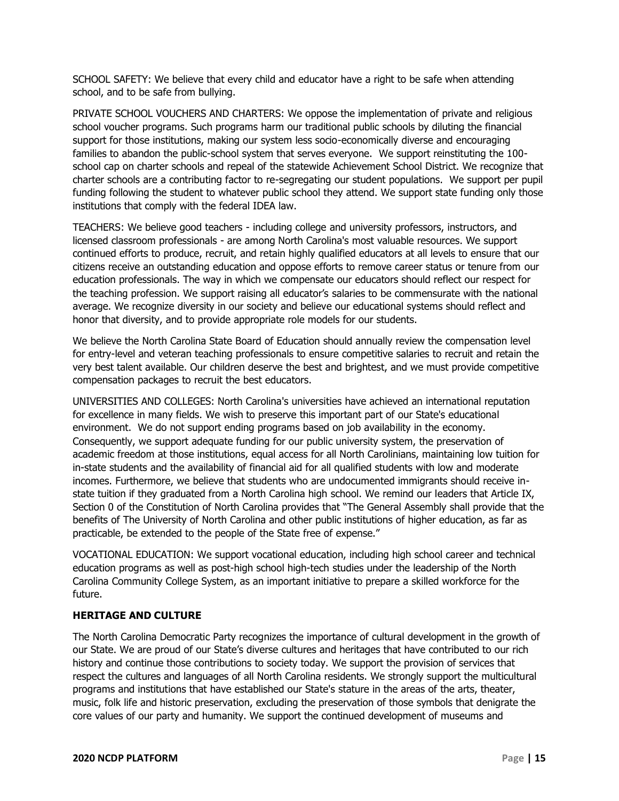SCHOOL SAFETY: We believe that every child and educator have a right to be safe when attending school, and to be safe from bullying.

PRIVATE SCHOOL VOUCHERS AND CHARTERS: We oppose the implementation of private and religious school voucher programs. Such programs harm our traditional public schools by diluting the financial support for those institutions, making our system less socio-economically diverse and encouraging families to abandon the public-school system that serves everyone. We support reinstituting the 100 school cap on charter schools and repeal of the statewide Achievement School District. We recognize that charter schools are a contributing factor to re-segregating our student populations. We support per pupil funding following the student to whatever public school they attend. We support state funding only those institutions that comply with the federal IDEA law.

TEACHERS: We believe good teachers - including college and university professors, instructors, and licensed classroom professionals - are among North Carolina's most valuable resources. We support continued efforts to produce, recruit, and retain highly qualified educators at all levels to ensure that our citizens receive an outstanding education and oppose efforts to remove career status or tenure from our education professionals. The way in which we compensate our educators should reflect our respect for the teaching profession. We support raising all educator's salaries to be commensurate with the national average. We recognize diversity in our society and believe our educational systems should reflect and honor that diversity, and to provide appropriate role models for our students.

We believe the North Carolina State Board of Education should annually review the compensation level for entry-level and veteran teaching professionals to ensure competitive salaries to recruit and retain the very best talent available. Our children deserve the best and brightest, and we must provide competitive compensation packages to recruit the best educators.

UNIVERSITIES AND COLLEGES: North Carolina's universities have achieved an international reputation for excellence in many fields. We wish to preserve this important part of our State's educational environment. We do not support ending programs based on job availability in the economy. Consequently, we support adequate funding for our public university system, the preservation of academic freedom at those institutions, equal access for all North Carolinians, maintaining low tuition for in-state students and the availability of financial aid for all qualified students with low and moderate incomes. Furthermore, we believe that students who are undocumented immigrants should receive instate tuition if they graduated from a North Carolina high school. We remind our leaders that Article IX, Section 0 of the Constitution of North Carolina provides that "The General Assembly shall provide that the benefits of The University of North Carolina and other public institutions of higher education, as far as practicable, be extended to the people of the State free of expense."

VOCATIONAL EDUCATION: We support vocational education, including high school career and technical education programs as well as post-high school high-tech studies under the leadership of the North Carolina Community College System, as an important initiative to prepare a skilled workforce for the future.

# **HERITAGE AND CULTURE**

The North Carolina Democratic Party recognizes the importance of cultural development in the growth of our State. We are proud of our State's diverse cultures and heritages that have contributed to our rich history and continue those contributions to society today. We support the provision of services that respect the cultures and languages of all North Carolina residents. We strongly support the multicultural programs and institutions that have established our State's stature in the areas of the arts, theater, music, folk life and historic preservation, excluding the preservation of those symbols that denigrate the core values of our party and humanity. We support the continued development of museums and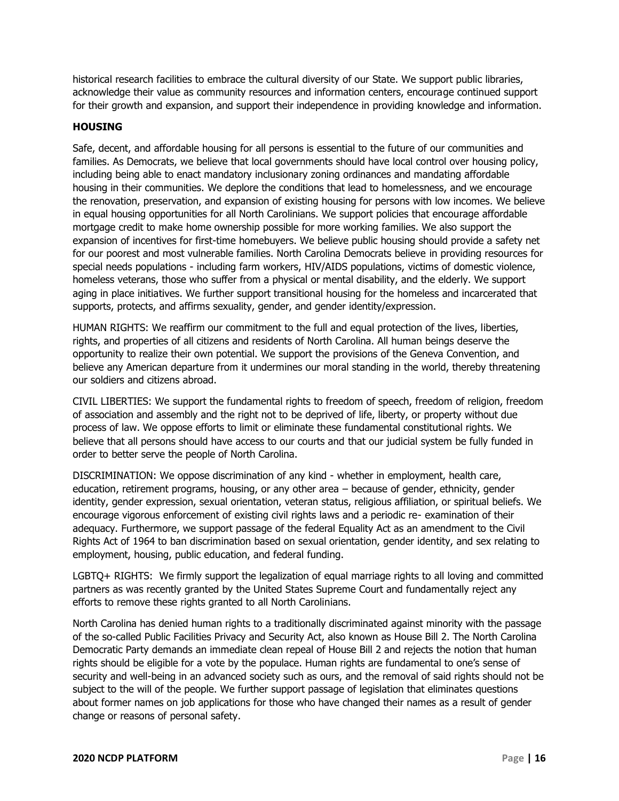historical research facilities to embrace the cultural diversity of our State. We support public libraries, acknowledge their value as community resources and information centers, encourage continued support for their growth and expansion, and support their independence in providing knowledge and information.

# **HOUSING**

Safe, decent, and affordable housing for all persons is essential to the future of our communities and families. As Democrats, we believe that local governments should have local control over housing policy, including being able to enact mandatory inclusionary zoning ordinances and mandating affordable housing in their communities. We deplore the conditions that lead to homelessness, and we encourage the renovation, preservation, and expansion of existing housing for persons with low incomes. We believe in equal housing opportunities for all North Carolinians. We support policies that encourage affordable mortgage credit to make home ownership possible for more working families. We also support the expansion of incentives for first-time homebuyers. We believe public housing should provide a safety net for our poorest and most vulnerable families. North Carolina Democrats believe in providing resources for special needs populations - including farm workers, HIV/AIDS populations, victims of domestic violence, homeless veterans, those who suffer from a physical or mental disability, and the elderly. We support aging in place initiatives. We further support transitional housing for the homeless and incarcerated that supports, protects, and affirms sexuality, gender, and gender identity/expression.

HUMAN RIGHTS: We reaffirm our commitment to the full and equal protection of the lives, liberties, rights, and properties of all citizens and residents of North Carolina. All human beings deserve the opportunity to realize their own potential. We support the provisions of the Geneva Convention, and believe any American departure from it undermines our moral standing in the world, thereby threatening our soldiers and citizens abroad.

CIVIL LIBERTIES: We support the fundamental rights to freedom of speech, freedom of religion, freedom of association and assembly and the right not to be deprived of life, liberty, or property without due process of law. We oppose efforts to limit or eliminate these fundamental constitutional rights. We believe that all persons should have access to our courts and that our judicial system be fully funded in order to better serve the people of North Carolina.

DISCRIMINATION: We oppose discrimination of any kind - whether in employment, health care, education, retirement programs, housing, or any other area – because of gender, ethnicity, gender identity, gender expression, sexual orientation, veteran status, religious affiliation, or spiritual beliefs. We encourage vigorous enforcement of existing civil rights laws and a periodic re- examination of their adequacy. Furthermore, we support passage of the federal Equality Act as an amendment to the Civil Rights Act of 1964 to ban discrimination based on sexual orientation, gender identity, and sex relating to employment, housing, public education, and federal funding.

LGBTQ+ RIGHTS: We firmly support the legalization of equal marriage rights to all loving and committed partners as was recently granted by the United States Supreme Court and fundamentally reject any efforts to remove these rights granted to all North Carolinians.

North Carolina has denied human rights to a traditionally discriminated against minority with the passage of the so-called Public Facilities Privacy and Security Act, also known as House Bill 2. The North Carolina Democratic Party demands an immediate clean repeal of House Bill 2 and rejects the notion that human rights should be eligible for a vote by the populace. Human rights are fundamental to one's sense of security and well-being in an advanced society such as ours, and the removal of said rights should not be subject to the will of the people. We further support passage of legislation that eliminates questions about former names on job applications for those who have changed their names as a result of gender change or reasons of personal safety.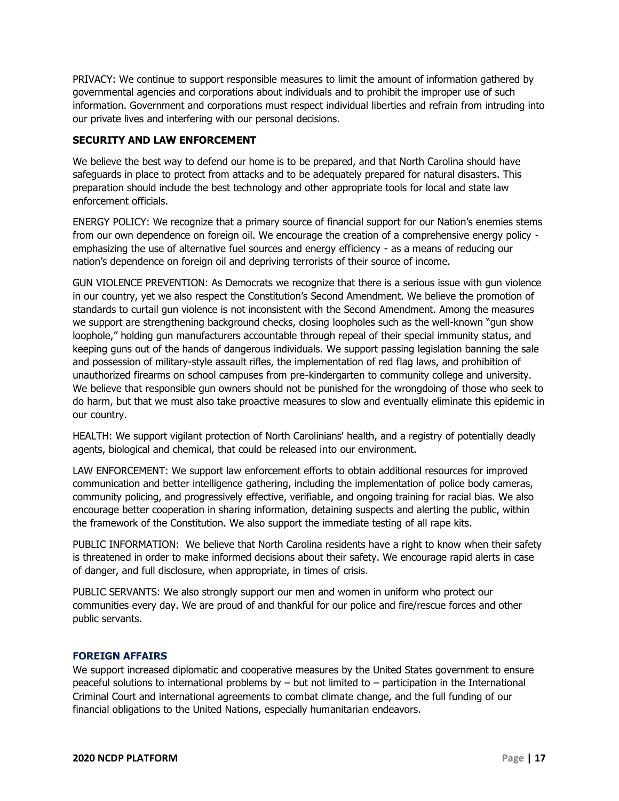PRIVACY: We continue to support responsible measures to limit the amount of information gathered by governmental agencies and corporations about individuals and to prohibit the improper use of such information. Government and corporations must respect individual liberties and refrain from intruding into our private lives and interfering with our personal decisions.

# **SECURITY AND LAW ENFORCEMENT**

We believe the best way to defend our home is to be prepared, and that North Carolina should have safeguards in place to protect from attacks and to be adequately prepared for natural disasters. This preparation should include the best technology and other appropriate tools for local and state law enforcement officials.

ENERGY POLICY: We recognize that a primary source of financial support for our Nation's enemies stems from our own dependence on foreign oil. We encourage the creation of a comprehensive energy policy emphasizing the use of alternative fuel sources and energy efficiency - as a means of reducing our nation's dependence on foreign oil and depriving terrorists of their source of income.

GUN VIOLENCE PREVENTION: As Democrats we recognize that there is a serious issue with gun violence in our country, yet we also respect the Constitution's Second Amendment. We believe the promotion of standards to curtail gun violence is not inconsistent with the Second Amendment. Among the measures we support are strengthening background checks, closing loopholes such as the well-known "gun show loophole," holding gun manufacturers accountable through repeal of their special immunity status, and keeping guns out of the hands of dangerous individuals. We support passing legislation banning the sale and possession of military-style assault rifles, the implementation of red flag laws, and prohibition of unauthorized firearms on school campuses from pre-kindergarten to community college and university. We believe that responsible gun owners should not be punished for the wrongdoing of those who seek to do harm, but that we must also take proactive measures to slow and eventually eliminate this epidemic in our country.

HEALTH: We support vigilant protection of North Carolinians' health, and a registry of potentially deadly agents, biological and chemical, that could be released into our environment.

LAW ENFORCEMENT: We support law enforcement efforts to obtain additional resources for improved communication and better intelligence gathering, including the implementation of police body cameras, community policing, and progressively effective, verifiable, and ongoing training for racial bias. We also encourage better cooperation in sharing information, detaining suspects and alerting the public, within the framework of the Constitution. We also support the immediate testing of all rape kits.

PUBLIC INFORMATION: We believe that North Carolina residents have a right to know when their safety is threatened in order to make informed decisions about their safety. We encourage rapid alerts in case of danger, and full disclosure, when appropriate, in times of crisis.

PUBLIC SERVANTS: We also strongly support our men and women in uniform who protect our communities every day. We are proud of and thankful for our police and fire/rescue forces and other public servants.

# <span id="page-16-0"></span>**FOREIGN AFFAIRS**

We support increased diplomatic and cooperative measures by the United States government to ensure peaceful solutions to international problems by – but not limited to – participation in the International Criminal Court and international agreements to combat climate change, and the full funding of our financial obligations to the United Nations, especially humanitarian endeavors.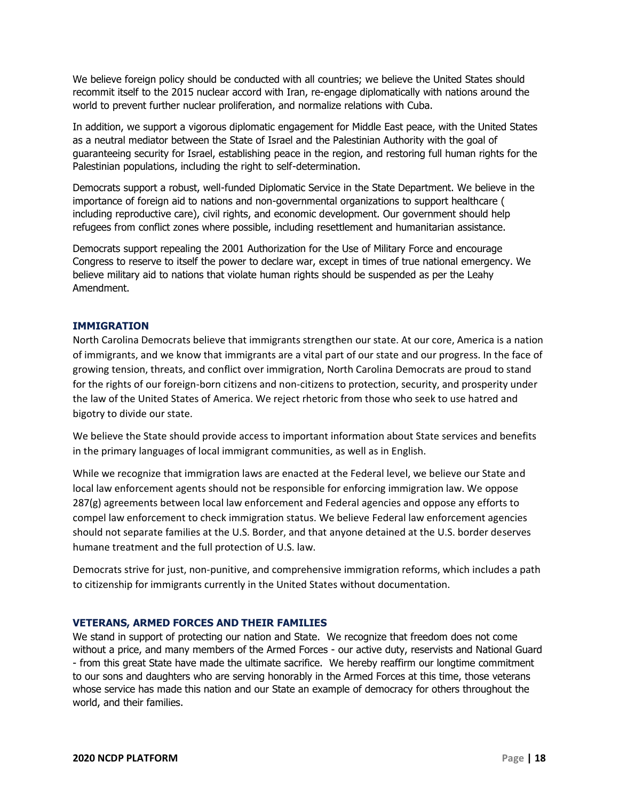We believe foreign policy should be conducted with all countries; we believe the United States should recommit itself to the 2015 nuclear accord with Iran, re-engage diplomatically with nations around the world to prevent further nuclear proliferation, and normalize relations with Cuba.

In addition, we support a vigorous diplomatic engagement for Middle East peace, with the United States as a neutral mediator between the State of Israel and the Palestinian Authority with the goal of guaranteeing security for Israel, establishing peace in the region, and restoring full human rights for the Palestinian populations, including the right to self-determination.

Democrats support a robust, well-funded Diplomatic Service in the State Department. We believe in the importance of foreign aid to nations and non-governmental organizations to support healthcare ( including reproductive care), civil rights, and economic development. Our government should help refugees from conflict zones where possible, including resettlement and humanitarian assistance.

Democrats support repealing the 2001 Authorization for the Use of Military Force and encourage Congress to reserve to itself the power to declare war, except in times of true national emergency. We believe military aid to nations that violate human rights should be suspended as per the Leahy Amendment.

# <span id="page-17-0"></span>**IMMIGRATION**

North Carolina Democrats believe that immigrants strengthen our state. At our core, America is a nation of immigrants, and we know that immigrants are a vital part of our state and our progress. In the face of growing tension, threats, and conflict over immigration, North Carolina Democrats are proud to stand for the rights of our foreign-born citizens and non-citizens to protection, security, and prosperity under the law of the United States of America. We reject rhetoric from those who seek to use hatred and bigotry to divide our state.

We believe the State should provide access to important information about State services and benefits in the primary languages of local immigrant communities, as well as in English.

While we recognize that immigration laws are enacted at the Federal level, we believe our State and local law enforcement agents should not be responsible for enforcing immigration law. We oppose 287(g) agreements between local law enforcement and Federal agencies and oppose any efforts to compel law enforcement to check immigration status. We believe Federal law enforcement agencies should not separate families at the U.S. Border, and that anyone detained at the U.S. border deserves humane treatment and the full protection of U.S. law.

Democrats strive for just, non-punitive, and comprehensive immigration reforms, which includes a path to citizenship for immigrants currently in the United States without documentation.

# <span id="page-17-1"></span>**VETERANS, ARMED FORCES AND THEIR FAMILIES**

We stand in support of protecting our nation and State. We recognize that freedom does not come without a price, and many members of the Armed Forces - our active duty, reservists and National Guard - from this great State have made the ultimate sacrifice. We hereby reaffirm our longtime commitment to our sons and daughters who are serving honorably in the Armed Forces at this time, those veterans whose service has made this nation and our State an example of democracy for others throughout the world, and their families.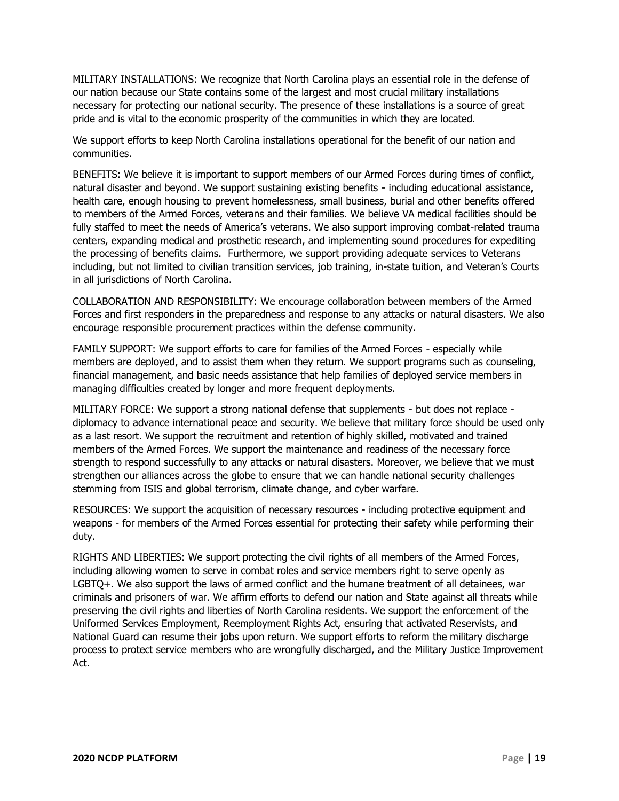MILITARY INSTALLATIONS: We recognize that North Carolina plays an essential role in the defense of our nation because our State contains some of the largest and most crucial military installations necessary for protecting our national security. The presence of these installations is a source of great pride and is vital to the economic prosperity of the communities in which they are located.

We support efforts to keep North Carolina installations operational for the benefit of our nation and communities.

BENEFITS: We believe it is important to support members of our Armed Forces during times of conflict, natural disaster and beyond. We support sustaining existing benefits - including educational assistance, health care, enough housing to prevent homelessness, small business, burial and other benefits offered to members of the Armed Forces, veterans and their families. We believe VA medical facilities should be fully staffed to meet the needs of America's veterans. We also support improving combat-related trauma centers, expanding medical and prosthetic research, and implementing sound procedures for expediting the processing of benefits claims. Furthermore, we support providing adequate services to Veterans including, but not limited to civilian transition services, job training, in-state tuition, and Veteran's Courts in all jurisdictions of North Carolina.

COLLABORATION AND RESPONSIBILITY: We encourage collaboration between members of the Armed Forces and first responders in the preparedness and response to any attacks or natural disasters. We also encourage responsible procurement practices within the defense community.

FAMILY SUPPORT: We support efforts to care for families of the Armed Forces - especially while members are deployed, and to assist them when they return. We support programs such as counseling, financial management, and basic needs assistance that help families of deployed service members in managing difficulties created by longer and more frequent deployments.

MILITARY FORCE: We support a strong national defense that supplements - but does not replace diplomacy to advance international peace and security. We believe that military force should be used only as a last resort. We support the recruitment and retention of highly skilled, motivated and trained members of the Armed Forces. We support the maintenance and readiness of the necessary force strength to respond successfully to any attacks or natural disasters. Moreover, we believe that we must strengthen our alliances across the globe to ensure that we can handle national security challenges stemming from ISIS and global terrorism, climate change, and cyber warfare.

RESOURCES: We support the acquisition of necessary resources - including protective equipment and weapons - for members of the Armed Forces essential for protecting their safety while performing their duty.

RIGHTS AND LIBERTIES: We support protecting the civil rights of all members of the Armed Forces, including allowing women to serve in combat roles and service members right to serve openly as LGBTQ+. We also support the laws of armed conflict and the humane treatment of all detainees, war criminals and prisoners of war. We affirm efforts to defend our nation and State against all threats while preserving the civil rights and liberties of North Carolina residents. We support the enforcement of the Uniformed Services Employment, Reemployment Rights Act, ensuring that activated Reservists, and National Guard can resume their jobs upon return. We support efforts to reform the military discharge process to protect service members who are wrongfully discharged, and the Military Justice Improvement Act.